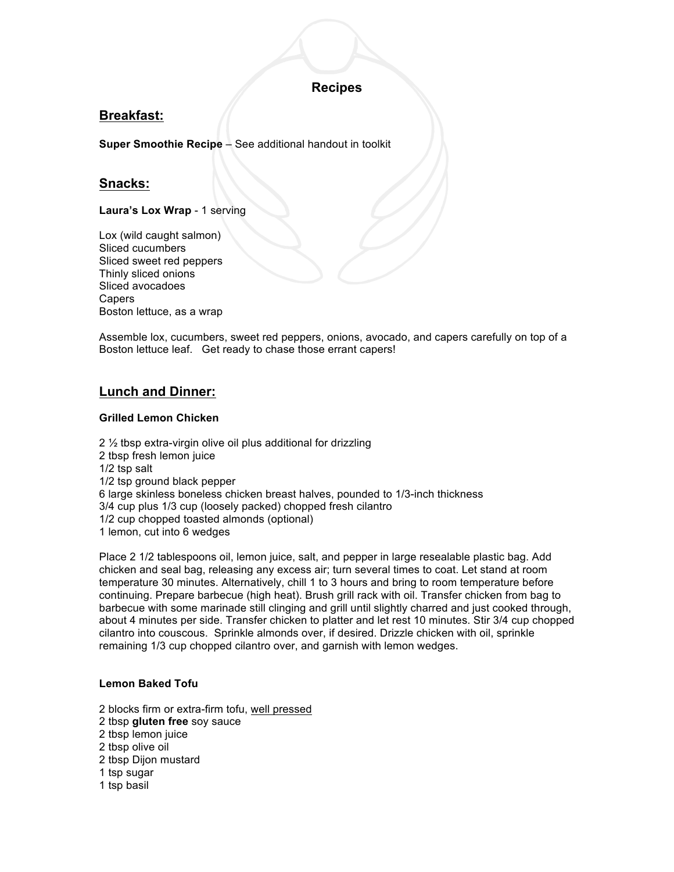# **Recipes**

# **Breakfast:**

**Super Smoothie Recipe** – See additional handout in toolkit

# **Snacks:**

**Laura's Lox Wrap** - 1 serving

Lox (wild caught salmon) Sliced cucumbers Sliced sweet red peppers Thinly sliced onions Sliced avocadoes Capers Boston lettuce, as a wrap

Assemble lox, cucumbers, sweet red peppers, onions, avocado, and capers carefully on top of a Boston lettuce leaf. Get ready to chase those errant capers!

# **Lunch and Dinner:**

### **Grilled Lemon Chicken**

2 ½ tbsp extra-virgin olive oil plus additional for drizzling 2 tbsp fresh lemon juice 1/2 tsp salt 1/2 tsp ground black pepper 6 large skinless boneless chicken breast halves, pounded to 1/3-inch thickness 3/4 cup plus 1/3 cup (loosely packed) chopped fresh cilantro 1/2 cup chopped toasted almonds (optional) 1 lemon, cut into 6 wedges

Place 2 1/2 tablespoons oil, lemon juice, salt, and pepper in large resealable plastic bag. Add chicken and seal bag, releasing any excess air; turn several times to coat. Let stand at room temperature 30 minutes. Alternatively, chill 1 to 3 hours and bring to room temperature before continuing. Prepare barbecue (high heat). Brush grill rack with oil. Transfer chicken from bag to barbecue with some marinade still clinging and grill until slightly charred and just cooked through, about 4 minutes per side. Transfer chicken to platter and let rest 10 minutes. Stir 3/4 cup chopped cilantro into couscous. Sprinkle almonds over, if desired. Drizzle chicken with oil, sprinkle remaining 1/3 cup chopped cilantro over, and garnish with lemon wedges.

### **Lemon Baked Tofu**

- 2 blocks firm or extra-firm tofu, well pressed
- 2 tbsp **gluten free** soy sauce
- 2 tbsp lemon juice
- 2 tbsp olive oil
- 2 tbsp Dijon mustard
- 1 tsp sugar
- 1 tsp basil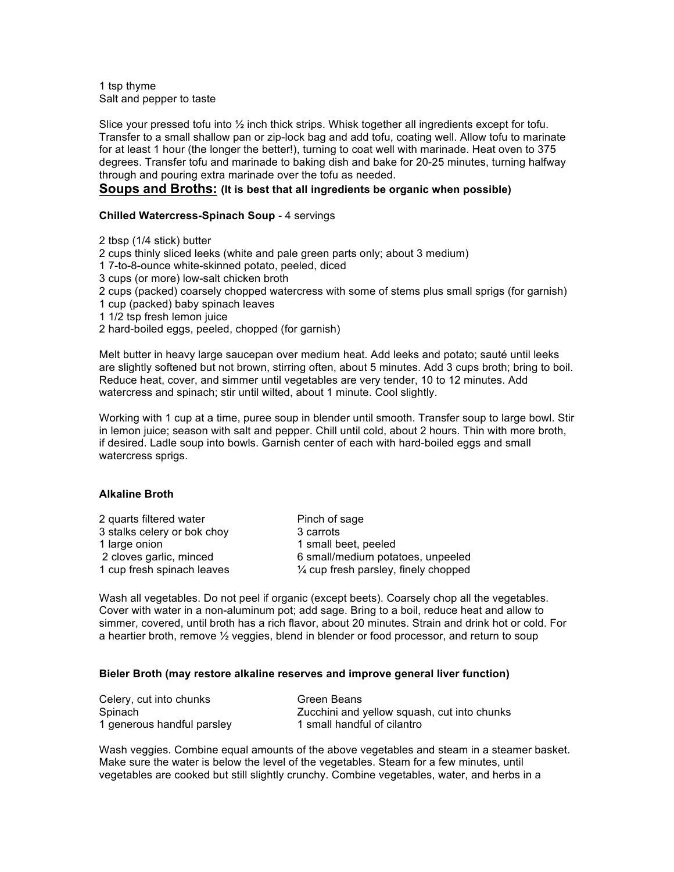1 tsp thyme Salt and pepper to taste

Slice your pressed tofu into ½ inch thick strips. Whisk together all ingredients except for tofu. Transfer to a small shallow pan or zip-lock bag and add tofu, coating well. Allow tofu to marinate for at least 1 hour (the longer the better!), turning to coat well with marinade. Heat oven to 375 degrees. Transfer tofu and marinade to baking dish and bake for 20-25 minutes, turning halfway through and pouring extra marinade over the tofu as needed.

### **Soups and Broths: (It is best that all ingredients be organic when possible)**

### **Chilled Watercress-Spinach Soup** - 4 servings

2 tbsp (1/4 stick) butter

2 cups thinly sliced leeks (white and pale green parts only; about 3 medium)

1 7-to-8-ounce white-skinned potato, peeled, diced

- 3 cups (or more) low-salt chicken broth
- 2 cups (packed) coarsely chopped watercress with some of stems plus small sprigs (for garnish)

1 cup (packed) baby spinach leaves

- 1 1/2 tsp fresh lemon juice
- 2 hard-boiled eggs, peeled, chopped (for garnish)

Melt butter in heavy large saucepan over medium heat. Add leeks and potato; sauté until leeks are slightly softened but not brown, stirring often, about 5 minutes. Add 3 cups broth; bring to boil. Reduce heat, cover, and simmer until vegetables are very tender, 10 to 12 minutes. Add watercress and spinach; stir until wilted, about 1 minute. Cool slightly.

Working with 1 cup at a time, puree soup in blender until smooth. Transfer soup to large bowl. Stir in lemon juice; season with salt and pepper. Chill until cold, about 2 hours. Thin with more broth, if desired. Ladle soup into bowls. Garnish center of each with hard-boiled eggs and small watercress sprigs.

### **Alkaline Broth**

| Pinch of sage                                   |
|-------------------------------------------------|
| 3 carrots                                       |
| 1 small beet, peeled                            |
| 6 small/medium potatoes, unpeeled               |
| $\frac{1}{4}$ cup fresh parsley, finely chopped |
|                                                 |

Wash all vegetables. Do not peel if organic (except beets). Coarsely chop all the vegetables. Cover with water in a non-aluminum pot; add sage. Bring to a boil, reduce heat and allow to simmer, covered, until broth has a rich flavor, about 20 minutes. Strain and drink hot or cold. For a heartier broth, remove ½ veggies, blend in blender or food processor, and return to soup

#### **Bieler Broth (may restore alkaline reserves and improve general liver function)**

| Celery, cut into chunks    | Green Beans                                 |
|----------------------------|---------------------------------------------|
| Spinach                    | Zucchini and yellow squash, cut into chunks |
| 1 generous handful parsley | 1 small handful of cilantro                 |

Wash veggies. Combine equal amounts of the above vegetables and steam in a steamer basket. Make sure the water is below the level of the vegetables. Steam for a few minutes, until vegetables are cooked but still slightly crunchy. Combine vegetables, water, and herbs in a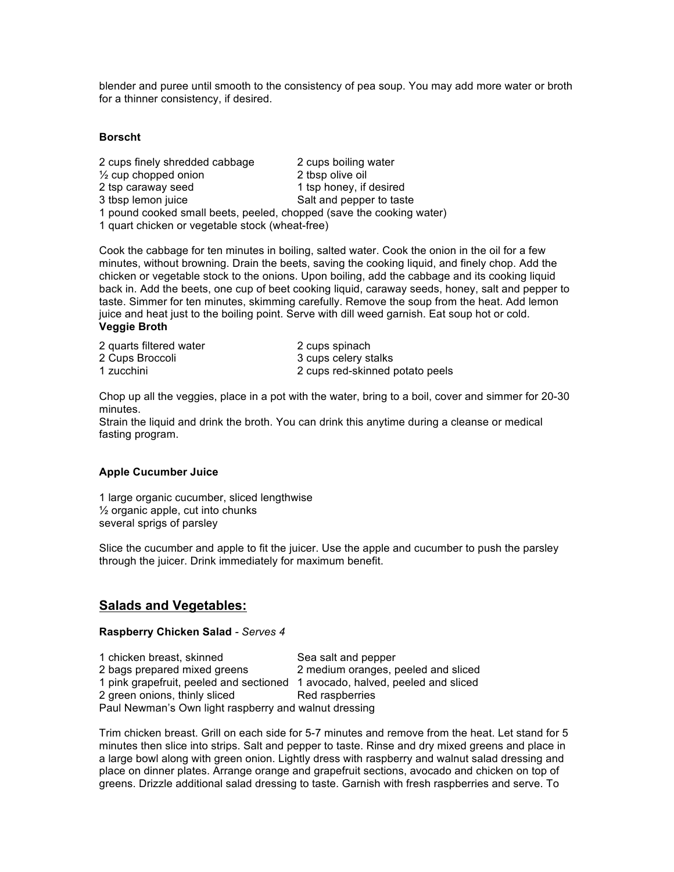blender and puree until smooth to the consistency of pea soup. You may add more water or broth for a thinner consistency, if desired.

### **Borscht**

| 2 cups finely shredded cabbage                                       | 2 cups boiling water     |  |
|----------------------------------------------------------------------|--------------------------|--|
| $\frac{1}{2}$ cup chopped onion                                      | 2 tbsp olive oil         |  |
| 2 tsp caraway seed                                                   | 1 tsp honey, if desired  |  |
| 3 tbsp lemon juice                                                   | Salt and pepper to taste |  |
| 1 pound cooked small beets, peeled, chopped (save the cooking water) |                          |  |
| 1 quart chicken or vegetable stock (wheat-free)                      |                          |  |

Cook the cabbage for ten minutes in boiling, salted water. Cook the onion in the oil for a few minutes, without browning. Drain the beets, saving the cooking liquid, and finely chop. Add the chicken or vegetable stock to the onions. Upon boiling, add the cabbage and its cooking liquid back in. Add the beets, one cup of beet cooking liquid, caraway seeds, honey, salt and pepper to taste. Simmer for ten minutes, skimming carefully. Remove the soup from the heat. Add lemon juice and heat just to the boiling point. Serve with dill weed garnish. Eat soup hot or cold. **Veggie Broth**

| 2 quarts filtered water | 2 cups spinach                  |
|-------------------------|---------------------------------|
| 2 Cups Broccoli         | 3 cups celery stalks            |
| 1 zucchini              | 2 cups red-skinned potato peels |

Chop up all the veggies, place in a pot with the water, bring to a boil, cover and simmer for 20-30 minutes.

Strain the liquid and drink the broth. You can drink this anytime during a cleanse or medical fasting program.

### **Apple Cucumber Juice**

1 large organic cucumber, sliced lengthwise ½ organic apple, cut into chunks several sprigs of parsley

Slice the cucumber and apple to fit the juicer. Use the apple and cucumber to push the parsley through the juicer. Drink immediately for maximum benefit.

## **Salads and Vegetables:**

### **Raspberry Chicken Salad** *- Serves 4*

1 chicken breast, skinned Sea salt and pepper 2 bags prepared mixed greens 2 medium oranges, peeled and sliced 1 pink grapefruit, peeled and sectioned 1 avocado, halved, peeled and sliced 2 green onions, thinly sliced Red raspberries Paul Newman's Own light raspberry and walnut dressing

Trim chicken breast. Grill on each side for 5-7 minutes and remove from the heat. Let stand for 5 minutes then slice into strips. Salt and pepper to taste. Rinse and dry mixed greens and place in a large bowl along with green onion. Lightly dress with raspberry and walnut salad dressing and place on dinner plates. Arrange orange and grapefruit sections, avocado and chicken on top of greens. Drizzle additional salad dressing to taste. Garnish with fresh raspberries and serve. To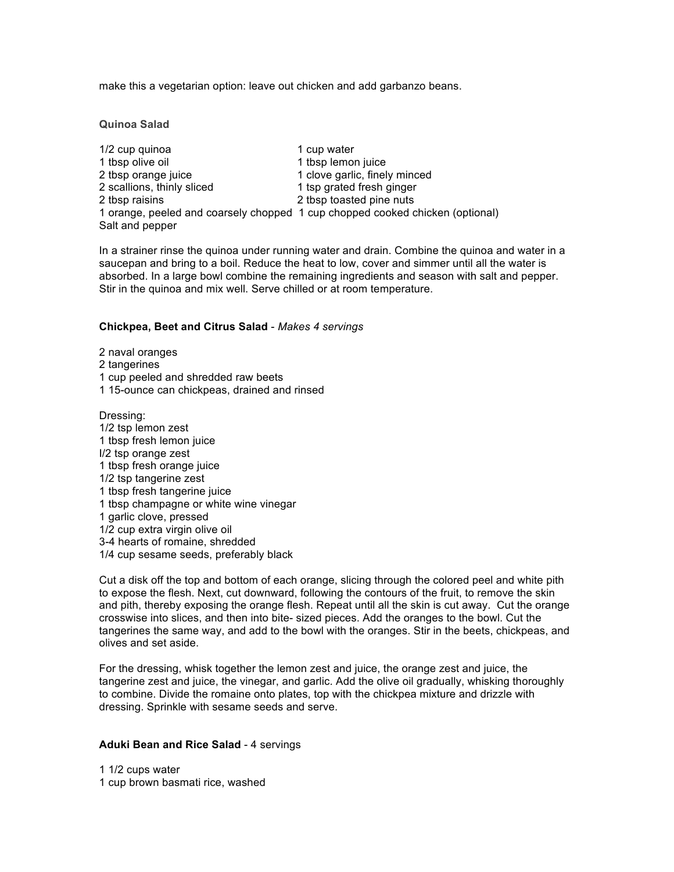make this a vegetarian option: leave out chicken and add garbanzo beans.

**Quinoa Salad**

1/2 cup quinoa 1 cup water 1 tbsp olive oil 1 tbsp lemon juice 2 tbsp orange juice 1 clove garlic, finely minced 2 scallions, thinly sliced 1 tsp grated fresh ginger 2 tbsp raisins 2 tbsp toasted pine nuts 1 orange, peeled and coarsely chopped 1 cup chopped cooked chicken (optional) Salt and pepper

In a strainer rinse the quinoa under running water and drain. Combine the quinoa and water in a saucepan and bring to a boil. Reduce the heat to low, cover and simmer until all the water is absorbed. In a large bowl combine the remaining ingredients and season with salt and pepper. Stir in the quinoa and mix well. Serve chilled or at room temperature.

#### **Chickpea, Beet and Citrus Salad** - *Makes 4 servings*

2 naval oranges 2 tangerines

- 1 cup peeled and shredded raw beets
- 1 15-ounce can chickpeas, drained and rinsed

Dressing: 1/2 tsp lemon zest 1 tbsp fresh lemon juice I/2 tsp orange zest 1 tbsp fresh orange juice 1/2 tsp tangerine zest 1 tbsp fresh tangerine juice 1 tbsp champagne or white wine vinegar 1 garlic clove, pressed 1/2 cup extra virgin olive oil 3-4 hearts of romaine, shredded 1/4 cup sesame seeds, preferably black

Cut a disk off the top and bottom of each orange, slicing through the colored peel and white pith to expose the flesh. Next, cut downward, following the contours of the fruit, to remove the skin and pith, thereby exposing the orange flesh. Repeat until all the skin is cut away. Cut the orange crosswise into slices, and then into bite- sized pieces. Add the oranges to the bowl. Cut the tangerines the same way, and add to the bowl with the oranges. Stir in the beets, chickpeas, and olives and set aside.

For the dressing, whisk together the lemon zest and juice, the orange zest and juice, the tangerine zest and juice, the vinegar, and garlic. Add the olive oil gradually, whisking thoroughly to combine. Divide the romaine onto plates, top with the chickpea mixture and drizzle with dressing. Sprinkle with sesame seeds and serve.

#### **Aduki Bean and Rice Salad** - 4 servings

1 1/2 cups water 1 cup brown basmati rice, washed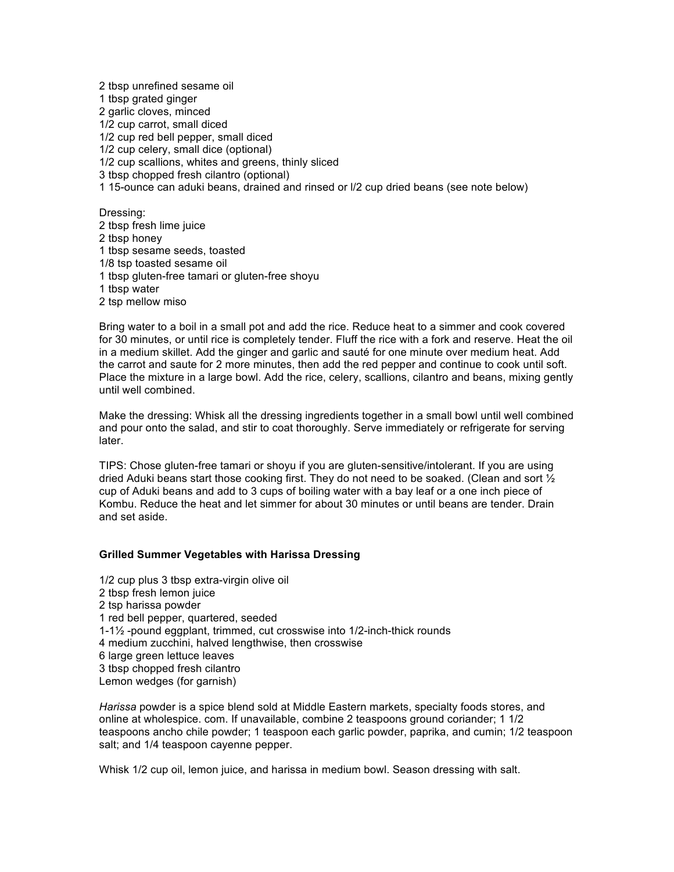2 tbsp unrefined sesame oil 1 tbsp grated ginger 2 garlic cloves, minced 1/2 cup carrot, small diced 1/2 cup red bell pepper, small diced 1/2 cup celery, small dice (optional) 1/2 cup scallions, whites and greens, thinly sliced 3 tbsp chopped fresh cilantro (optional) 1 15-ounce can aduki beans, drained and rinsed or l/2 cup dried beans (see note below) Dressing:

2 tbsp fresh lime juice 2 tbsp honey 1 tbsp sesame seeds, toasted 1/8 tsp toasted sesame oil 1 tbsp gluten-free tamari or gluten-free shoyu 1 tbsp water

2 tsp mellow miso

Bring water to a boil in a small pot and add the rice. Reduce heat to a simmer and cook covered for 30 minutes, or until rice is completely tender. Fluff the rice with a fork and reserve. Heat the oil in a medium skillet. Add the ginger and garlic and sauté for one minute over medium heat. Add the carrot and saute for 2 more minutes, then add the red pepper and continue to cook until soft. Place the mixture in a large bowl. Add the rice, celery, scallions, cilantro and beans, mixing gently until well combined.

Make the dressing: Whisk all the dressing ingredients together in a small bowl until well combined and pour onto the salad, and stir to coat thoroughly. Serve immediately or refrigerate for serving later.

TIPS: Chose gluten-free tamari or shoyu if you are gluten-sensitive/intolerant. If you are using dried Aduki beans start those cooking first. They do not need to be soaked. (Clean and sort  $\frac{1}{2}$ cup of Aduki beans and add to 3 cups of boiling water with a bay leaf or a one inch piece of Kombu. Reduce the heat and let simmer for about 30 minutes or until beans are tender. Drain and set aside.

#### **Grilled Summer Vegetables with Harissa Dressing**

1/2 cup plus 3 tbsp extra-virgin olive oil 2 tbsp fresh lemon juice 2 tsp harissa powder 1 red bell pepper, quartered, seeded 1-1½ -pound eggplant, trimmed, cut crosswise into 1/2-inch-thick rounds 4 medium zucchini, halved lengthwise, then crosswise 6 large green lettuce leaves 3 tbsp chopped fresh cilantro Lemon wedges (for garnish)

*Harissa* powder is a spice blend sold at Middle Eastern markets, specialty foods stores, and online at wholespice. com. If unavailable, combine 2 teaspoons ground coriander; 1 1/2 teaspoons ancho chile powder; 1 teaspoon each garlic powder, paprika, and cumin; 1/2 teaspoon salt; and 1/4 teaspoon cayenne pepper.

Whisk 1/2 cup oil, lemon juice, and harissa in medium bowl. Season dressing with salt.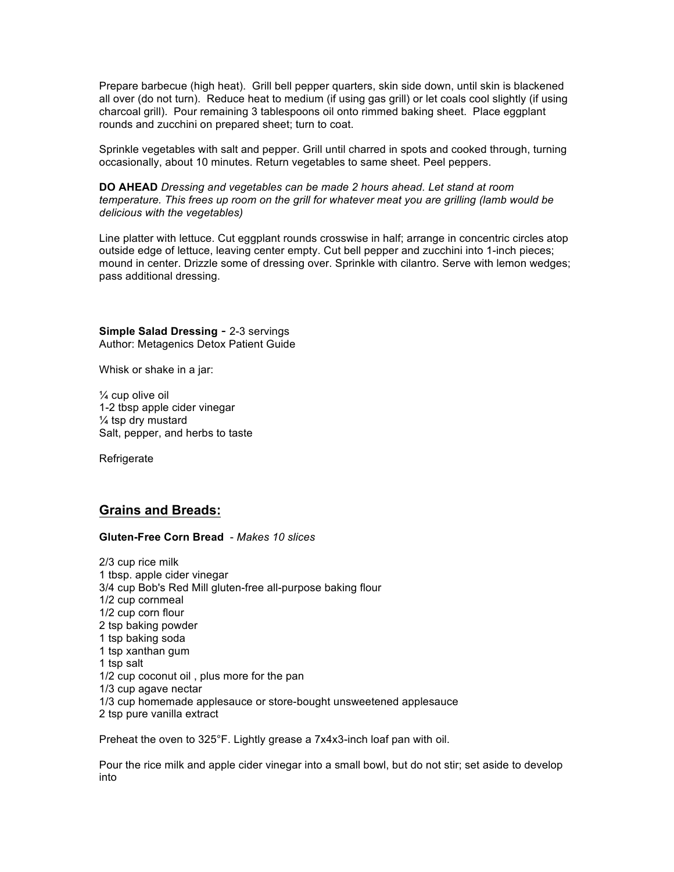Prepare barbecue (high heat). Grill bell pepper quarters, skin side down, until skin is blackened all over (do not turn). Reduce heat to medium (if using gas grill) or let coals cool slightly (if using charcoal grill). Pour remaining 3 tablespoons oil onto rimmed baking sheet. Place eggplant rounds and zucchini on prepared sheet; turn to coat.

Sprinkle vegetables with salt and pepper. Grill until charred in spots and cooked through, turning occasionally, about 10 minutes. Return vegetables to same sheet. Peel peppers.

#### **DO AHEAD** *Dressing and vegetables can be made 2 hours ahead. Let stand at room temperature. This frees up room on the grill for whatever meat you are grilling (lamb would be delicious with the vegetables)*

Line platter with lettuce. Cut eggplant rounds crosswise in half; arrange in concentric circles atop outside edge of lettuce, leaving center empty. Cut bell pepper and zucchini into 1-inch pieces; mound in center. Drizzle some of dressing over. Sprinkle with cilantro. Serve with lemon wedges; pass additional dressing.

**Simple Salad Dressing** - 2-3 servings Author: Metagenics Detox Patient Guide

Whisk or shake in a jar:

¼ cup olive oil 1-2 tbsp apple cider vinegar ¼ tsp dry mustard Salt, pepper, and herbs to taste

**Refrigerate** 

## **Grains and Breads:**

### **Gluten-Free Corn Bread** - *Makes 10 slices*

2/3 cup rice milk 1 tbsp. apple cider vinegar 3/4 cup Bob's Red Mill gluten-free all-purpose baking flour 1/2 cup cornmeal 1/2 cup corn flour 2 tsp baking powder 1 tsp baking soda 1 tsp xanthan gum 1 tsp salt 1/2 cup coconut oil , plus more for the pan 1/3 cup agave nectar 1/3 cup homemade applesauce or store-bought unsweetened applesauce 2 tsp pure vanilla extract

Preheat the oven to 325°F. Lightly grease a 7x4x3-inch loaf pan with oil.

Pour the rice milk and apple cider vinegar into a small bowl, but do not stir; set aside to develop into